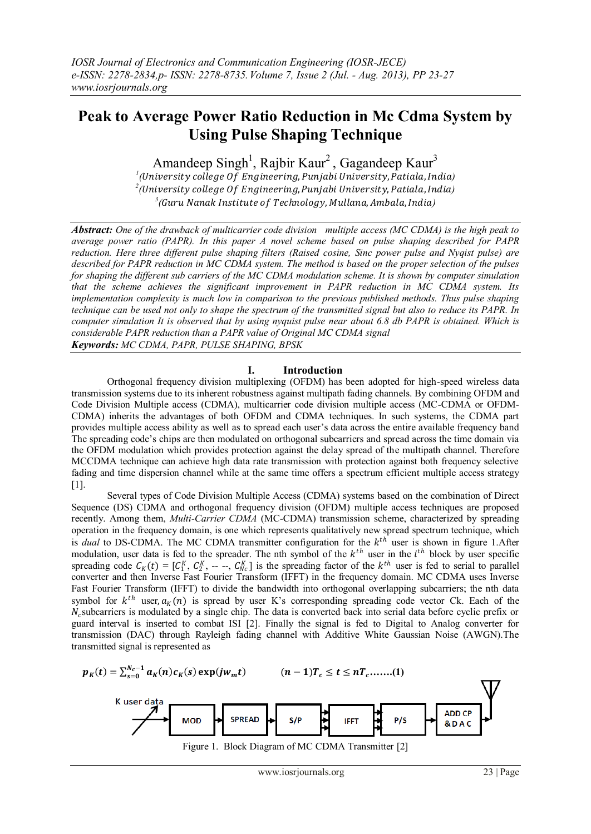# **Peak to Average Power Ratio Reduction in Mc Cdma System by Using Pulse Shaping Technique**

Amandeep Singh<sup>1</sup>, Rajbir Kaur<sup>2</sup>, Gagandeep Kaur<sup>3</sup>

*<sup>1</sup>* (University college Of Engineering, Punjabi University, Patiala, India)  $^2$ (University college Of Engineering, Punjabi University, Patiala, India)  $^3$ (Guru Nanak Institute of Technology, Mullana, Ambala, India)

*Abstract: One of the drawback of multicarrier code division multiple access (MC CDMA) is the high peak to average power ratio (PAPR). In this paper A novel scheme based on pulse shaping described for PAPR reduction. Here three different pulse shaping filters (Raised cosine, Sinc power pulse and Nyqist pulse) are described for PAPR reduction in MC CDMA system. The method is based on the proper selection of the pulses for shaping the different sub carriers of the MC CDMA modulation scheme. It is shown by computer simulation that the scheme achieves the significant improvement in PAPR reduction in MC CDMA system. Its implementation complexity is much low in comparison to the previous published methods. Thus pulse shaping technique can be used not only to shape the spectrum of the transmitted signal but also to reduce its PAPR. In computer simulation It is observed that by using nyquist pulse near about 6.8 db PAPR is obtained. Which is considerable PAPR reduction than a PAPR value of Original MC CDMA signal Keywords: MC CDMA, PAPR, PULSE SHAPING, BPSK*

## **I. Introduction**

Orthogonal frequency division multiplexing (OFDM) has been adopted for high-speed wireless data transmission systems due to its inherent robustness against multipath fading channels. By combining OFDM and Code Division Multiple access (CDMA), multicarrier code division multiple access (MC-CDMA or OFDM-CDMA) inherits the advantages of both OFDM and CDMA techniques. In such systems, the CDMA part provides multiple access ability as well as to spread each user's data across the entire available frequency band The spreading code's chips are then modulated on orthogonal subcarriers and spread across the time domain via the OFDM modulation which provides protection against the delay spread of the multipath channel. Therefore MCCDMA technique can achieve high data rate transmission with protection against both frequency selective fading and time dispersion channel while at the same time offers a spectrum efficient multiple access strategy [1].

Several types of Code Division Multiple Access (CDMA) systems based on the combination of Direct Sequence (DS) CDMA and orthogonal frequency division (OFDM) multiple access techniques are proposed recently. Among them, *Multi-Carrier CDMA* (MC-CDMA) transmission scheme, characterized by spreading operation in the frequency domain, is one which represents qualitatively new spread spectrum technique, which is *dual* to DS-CDMA. The MC CDMA transmitter configuration for the  $k<sup>th</sup>$  user is shown in figure 1.After modulation, user data is fed to the spreader. The nth symbol of the  $k^{th}$  user in the  $i^{th}$  block by user specific spreading code  $C_K(t) = [C_1^K, C_2^K, -, -, C_{NC}^K]$  is the spreading factor of the  $k^{th}$  user is fed to serial to parallel converter and then Inverse Fast Fourier Transform (IFFT) in the frequency domain. MC CDMA uses Inverse Fast Fourier Transform (IFFT) to divide the bandwidth into orthogonal overlapping subcarriers; the nth data symbol for  $k^{th}$  user,  $a_K(n)$  is spread by user K's corresponding spreading code vector Ck. Each of the  $N_c$ subcarriers is modulated by a single chip. The data is converted back into serial data before cyclic prefix or guard interval is inserted to combat ISI [2]. Finally the signal is fed to Digital to Analog converter for transmission (DAC) through Rayleigh fading channel with Additive White Gaussian Noise (AWGN).The transmitted signal is represented as

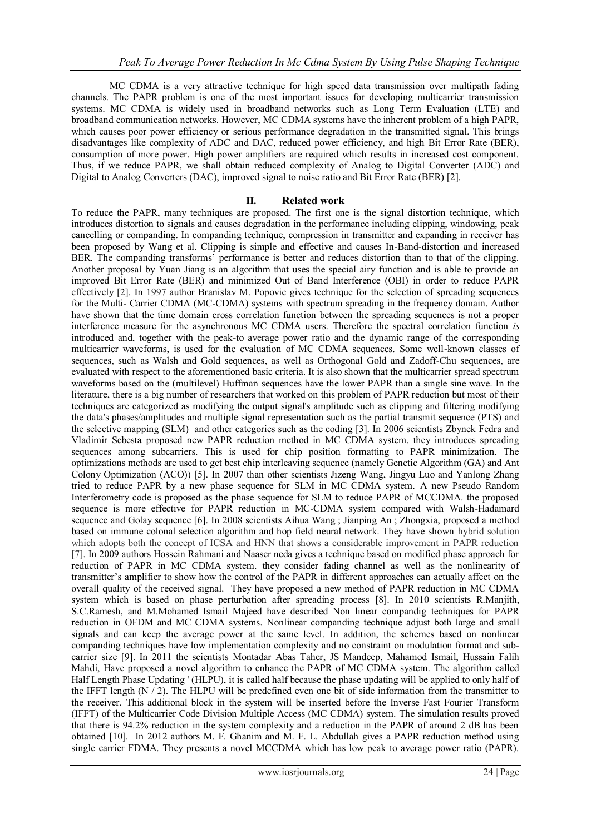MC CDMA is a very attractive technique for high speed data transmission over multipath fading channels. The PAPR problem is one of the most important issues for developing multicarrier transmission systems. MC CDMA is widely used in broadband networks such as Long Term Evaluation (LTE) and broadband communication networks. However, MC CDMA systems have the inherent problem of a high PAPR, which causes poor power efficiency or serious performance degradation in the transmitted signal. This brings disadvantages like complexity of ADC and DAC, reduced power efficiency, and high Bit Error Rate (BER), consumption of more power. High power amplifiers are required which results in increased cost component. Thus, if we reduce PAPR, we shall obtain reduced complexity of Analog to Digital Converter (ADC) and Digital to Analog Converters (DAC), improved signal to noise ratio and Bit Error Rate (BER) [2].

## **II. Related work**

To reduce the PAPR, many techniques are proposed. The first one is the signal distortion technique, which introduces distortion to signals and causes degradation in the performance including clipping, windowing, peak cancelling or companding. In companding technique, compression in transmitter and expanding in receiver has been proposed by Wang et al. Clipping is simple and effective and causes In-Band-distortion and increased BER. The companding transforms' performance is better and reduces distortion than to that of the clipping. Another proposal by Yuan Jiang is an algorithm that uses the special airy function and is able to provide an improved Bit Error Rate (BER) and minimized Out of Band Interference (OBI) in order to reduce PAPR effectively [2]. In 1997 author Branislav M. Popovic gives technique for the selection of spreading sequences for the Multi- Carrier CDMA (MC-CDMA) systems with spectrum spreading in the frequency domain. Author have shown that the time domain cross correlation function between the spreading sequences is not a proper interference measure for the asynchronous MC CDMA users. Therefore the spectral correlation function *is*  introduced and, together with the peak-to average power ratio and the dynamic range of the corresponding multicarrier waveforms, is used for the evaluation of MC CDMA sequences. Some well-known classes of sequences, such as Walsh and Gold sequences, as well as Orthogonal Gold and Zadoff-Chu sequences, are evaluated with respect to the aforementioned basic criteria. It is also shown that the multicarrier spread spectrum waveforms based on the (multilevel) Huffman sequences have the lower PAPR than a single sine wave. In the literature, there is a big number of researchers that worked on this problem of PAPR reduction but most of their techniques are categorized as modifying the output signal's amplitude such as clipping and filtering modifying the data's phases/amplitudes and multiple signal representation such as the partial transmit sequence (PTS) and the selective mapping (SLM) and other categories such as the coding [3]. In 2006 scientists Zbynek Fedra and Vladimir Sebesta proposed new PAPR reduction method in MC CDMA system. they introduces spreading sequences among subcarriers. This is used for chip position formatting to PAPR minimization. The optimizations methods are used to get best chip interleaving sequence (namely Genetic Algorithm (GA) and Ant Colony Optimization (ACO)) [5]. In 2007 than other scientists Jizeng Wang, Jingyu Luo and Yanlong Zhang tried to reduce PAPR by a new phase sequence for SLM in MC CDMA system. A new Pseudo Random Interferometry code is proposed as the phase sequence for SLM to reduce PAPR of MCCDMA. the proposed sequence is more effective for PAPR reduction in MC-CDMA system compared with Walsh-Hadamard sequence and Golay sequence [6]. In 2008 scientists Aihua Wang ; Jianping An ; Zhongxia, proposed a method based on immune colonal selection algorithm and hop field neural network. They have shown hybrid solution which adopts both the concept of ICSA and HNN that shows a considerable improvement in PAPR reduction [7]. In 2009 authors Hossein Rahmani and Naaser neda gives a technique based on modified phase approach for reduction of PAPR in MC CDMA system. they consider fading channel as well as the nonlinearity of transmitter's amplifier to show how the control of the PAPR in different approaches can actually affect on the overall quality of the received signal. They have proposed a new method of PAPR reduction in MC CDMA system which is based on phase perturbation after spreading process [8]. In 2010 scientists R.Manjith, S.C.Ramesh, and M.Mohamed Ismail Majeed have described Non linear compandig techniques for PAPR reduction in OFDM and MC CDMA systems. Nonlinear companding technique adjust both large and small signals and can keep the average power at the same level. In addition, the schemes based on nonlinear companding techniques have low implementation complexity and no constraint on modulation format and subcarrier size [9]. In 2011 the scientists Montadar Abas Taher, JS Mandeep, Mahamod Ismail, Hussain Falih Mahdi, Have proposed a novel algorithm to enhance the PAPR of MC CDMA system. The algorithm called Half Length Phase Updating ' (HLPU), it is called half because the phase updating will be applied to only half of the IFFT length  $(N / 2)$ . The HLPU will be predefined even one bit of side information from the transmitter to the receiver. This additional block in the system will be inserted before the Inverse Fast Fourier Transform (IFFT) of the Multicarrier Code Division Multiple Access (MC CDMA) system. The simulation results proved that there is 94.2% reduction in the system complexity and a reduction in the PAPR of around 2 dB has been obtained [10]. In 2012 authors M. F. Ghanim and M. F. L. Abdullah gives a PAPR reduction method using single carrier FDMA. They presents a novel MCCDMA which has low peak to average power ratio (PAPR).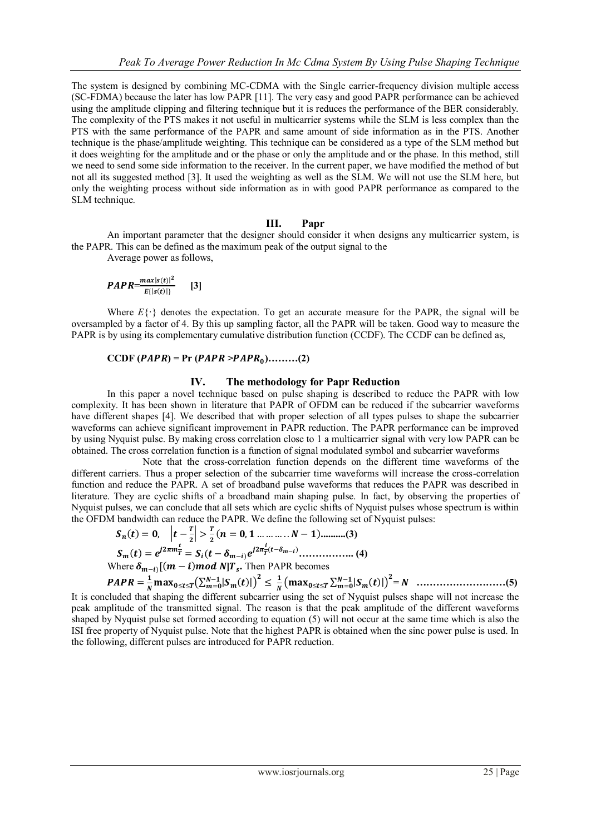The system is designed by combining MC-CDMA with the Single carrier-frequency division multiple access (SC-FDMA) because the later has low PAPR [11]. The very easy and good PAPR performance can be achieved using the amplitude clipping and filtering technique but it is reduces the performance of the BER considerably. The complexity of the PTS makes it not useful in multicarrier systems while the SLM is less complex than the PTS with the same performance of the PAPR and same amount of side information as in the PTS. Another technique is the phase/amplitude weighting. This technique can be considered as a type of the SLM method but it does weighting for the amplitude and or the phase or only the amplitude and or the phase. In this method, still we need to send some side information to the receiver. In the current paper, we have modified the method of but not all its suggested method [3]. It used the weighting as well as the SLM. We will not use the SLM here, but only the weighting process without side information as in with good PAPR performance as compared to the SLM technique.

### **III. Papr**

An important parameter that the designer should consider it when designs any multicarrier system, is the PAPR. This can be defined as the maximum peak of the output signal to the

Average power as follows,

$$
PAPR = \frac{max|s(t)|^2}{E\{|s(t)|\}} \qquad [3]
$$

Where  $E\{\cdot\}$  denotes the expectation. To get an accurate measure for the PAPR, the signal will be oversampled by a factor of 4. By this up sampling factor, all the PAPR will be taken. Good way to measure the PAPR is by using its complementary cumulative distribution function (CCDF). The CCDF can be defined as,

## $CCDF(PAPR) = Pr(PAPR > PAPR_0)$ .........(2)

### **IV. The methodology for Papr Reduction**

In this paper a novel technique based on pulse shaping is described to reduce the PAPR with low complexity. It has been shown in literature that PAPR of OFDM can be reduced if the subcarrier waveforms have different shapes [4]. We described that with proper selection of all types pulses to shape the subcarrier waveforms can achieve significant improvement in PAPR reduction. The PAPR performance can be improved by using Nyquist pulse. By making cross correlation close to 1 a multicarrier signal with very low PAPR can be obtained. The cross correlation function is a function of signal modulated symbol and subcarrier waveforms

Note that the cross-correlation function depends on the different time waveforms of the different carriers. Thus a proper selection of the subcarrier time waveforms will increase the cross-correlation function and reduce the PAPR. A set of broadband pulse waveforms that reduces the PAPR was described in literature. They are cyclic shifts of a broadband main shaping pulse. In fact, by observing the properties of Nyquist pulses, we can conclude that all sets which are cyclic shifts of Nyquist pulses whose spectrum is within the OFDM bandwidth can reduce the PAPR. We define the following set of Nyquist pulses:

$$
S_n(t) = 0, \quad \left| t - \frac{T}{2} \right| > \frac{T}{2} (n = 0, 1 \dots \dots \dots N - 1) \dots \dots (3)
$$
\n
$$
S_m(t) = e^{j2\pi m \frac{t}{T}} = S_i (t - \delta_{m-i}) e^{j2\pi \frac{t}{T} (t - \delta_{m-i})} \dots \dots \dots (4)
$$
\nWhere  $\delta_{m-i} [ (m - i) \text{ mod } N ] T_s$ . Then PAPR becomes

 $PAPR=\frac{1}{N}$  $\frac{1}{N}$ max<sub>0≤t≤T</sub> $(\sum_{m=0}^{N-1} |S_m(t)|)^2 \leq \frac{1}{N}$  ≤≤ − = **= ………………………(5)** It is concluded that shaping the different subcarrier using the set of Nyquist pulses shape will not increase the peak amplitude of the transmitted signal. The reason is that the peak amplitude of the different waveforms shaped by Nyquist pulse set formed according to equation (5) will not occur at the same time which is also the ISI free property of Nyquist pulse. Note that the highest PAPR is obtained when the sinc power pulse is used. In the following, different pulses are introduced for PAPR reduction.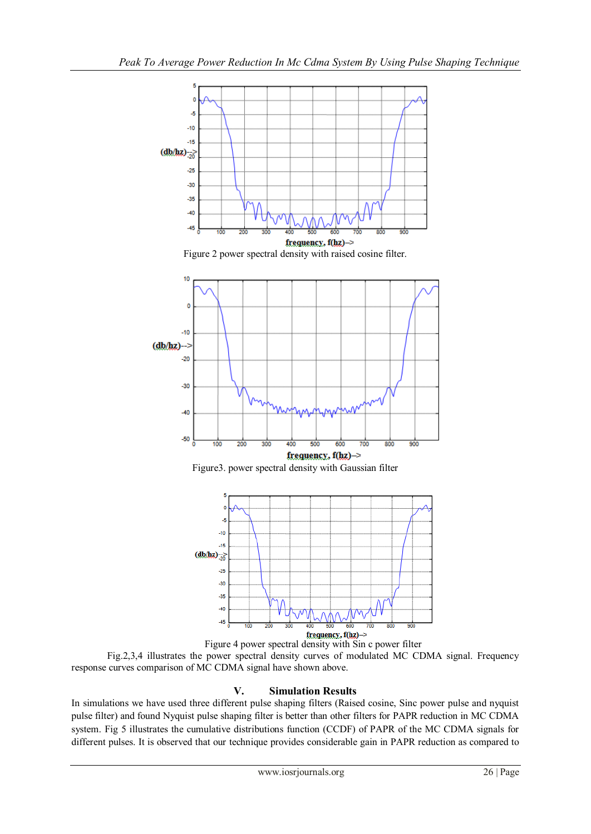

Fig.2,3,4 illustrates the power spectral density curves of modulated MC CDMA signal. Frequency response curves comparison of MC CDMA signal have shown above.

## **V. Simulation Results**

In simulations we have used three different pulse shaping filters (Raised cosine, Sinc power pulse and nyquist pulse filter) and found Nyquist pulse shaping filter is better than other filters for PAPR reduction in MC CDMA system. Fig 5 illustrates the cumulative distributions function (CCDF) of PAPR of the MC CDMA signals for different pulses. It is observed that our technique provides considerable gain in PAPR reduction as compared to